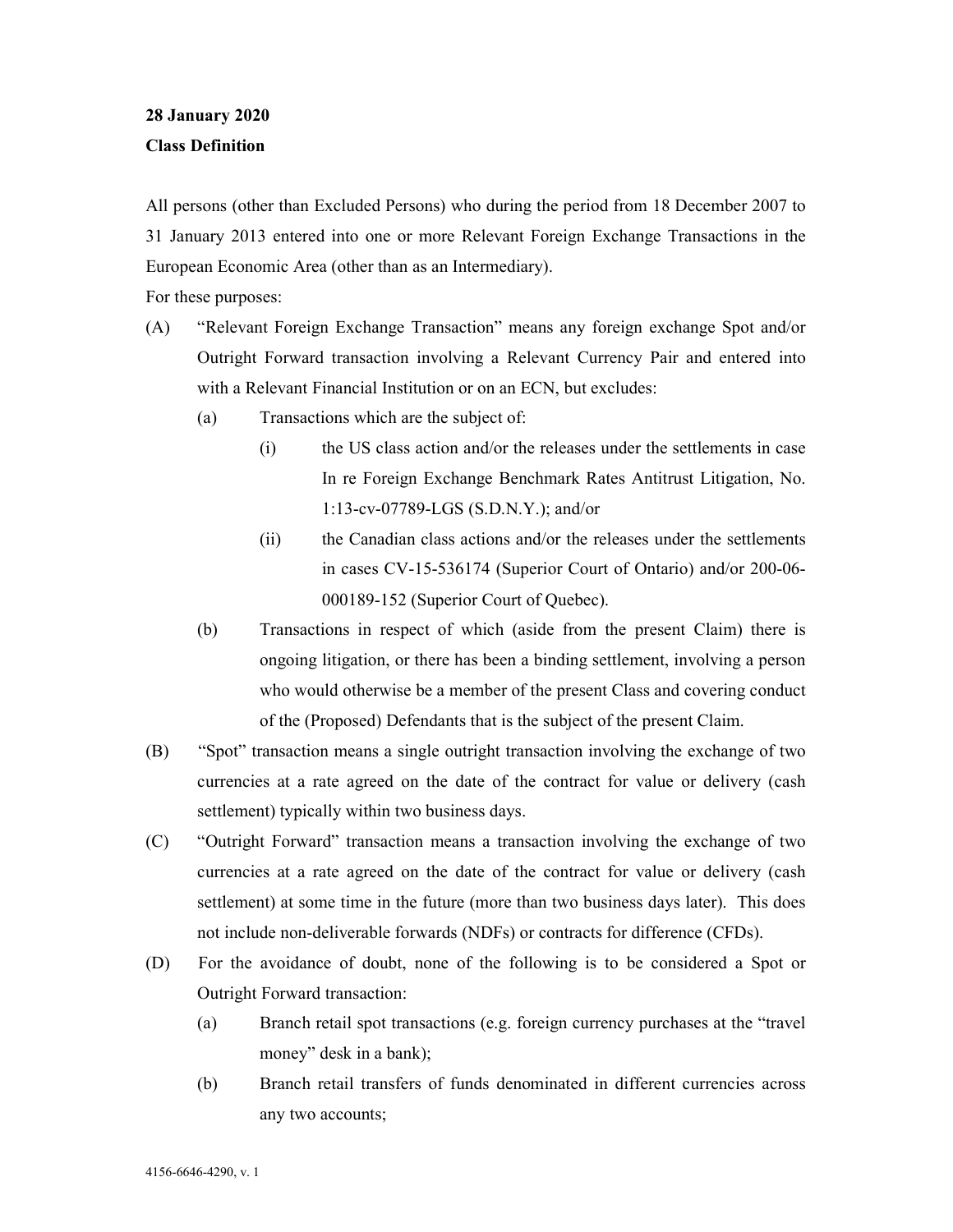## **28 January 2020**

## **Class Definition**

All persons (other than Excluded Persons) who during the period from 18 December 2007 to 31 January 2013 entered into one or more Relevant Foreign Exchange Transactions in the European Economic Area (other than as an Intermediary).

For these purposes:

- (A) "Relevant Foreign Exchange Transaction" means any foreign exchange Spot and/or Outright Forward transaction involving a Relevant Currency Pair and entered into with a Relevant Financial Institution or on an ECN, but excludes:
	- (a) Transactions which are the subject of:
		- (i) the US class action and/or the releases under the settlements in case In re Foreign Exchange Benchmark Rates Antitrust Litigation, No. 1:13-cv-07789-LGS (S.D.N.Y.); and/or
		- (ii) the Canadian class actions and/or the releases under the settlements in cases CV-15-536174 (Superior Court of Ontario) and/or 200-06- 000189-152 (Superior Court of Quebec).
	- (b) Transactions in respect of which (aside from the present Claim) there is ongoing litigation, or there has been a binding settlement, involving a person who would otherwise be a member of the present Class and covering conduct of the (Proposed) Defendants that is the subject of the present Claim.
- (B) "Spot" transaction means a single outright transaction involving the exchange of two currencies at a rate agreed on the date of the contract for value or delivery (cash settlement) typically within two business days.
- (C) "Outright Forward" transaction means a transaction involving the exchange of two currencies at a rate agreed on the date of the contract for value or delivery (cash settlement) at some time in the future (more than two business days later). This does not include non-deliverable forwards (NDFs) or contracts for difference (CFDs).
- (D) For the avoidance of doubt, none of the following is to be considered a Spot or Outright Forward transaction:
	- (a) Branch retail spot transactions (e.g. foreign currency purchases at the "travel money" desk in a bank);
	- (b) Branch retail transfers of funds denominated in different currencies across any two accounts;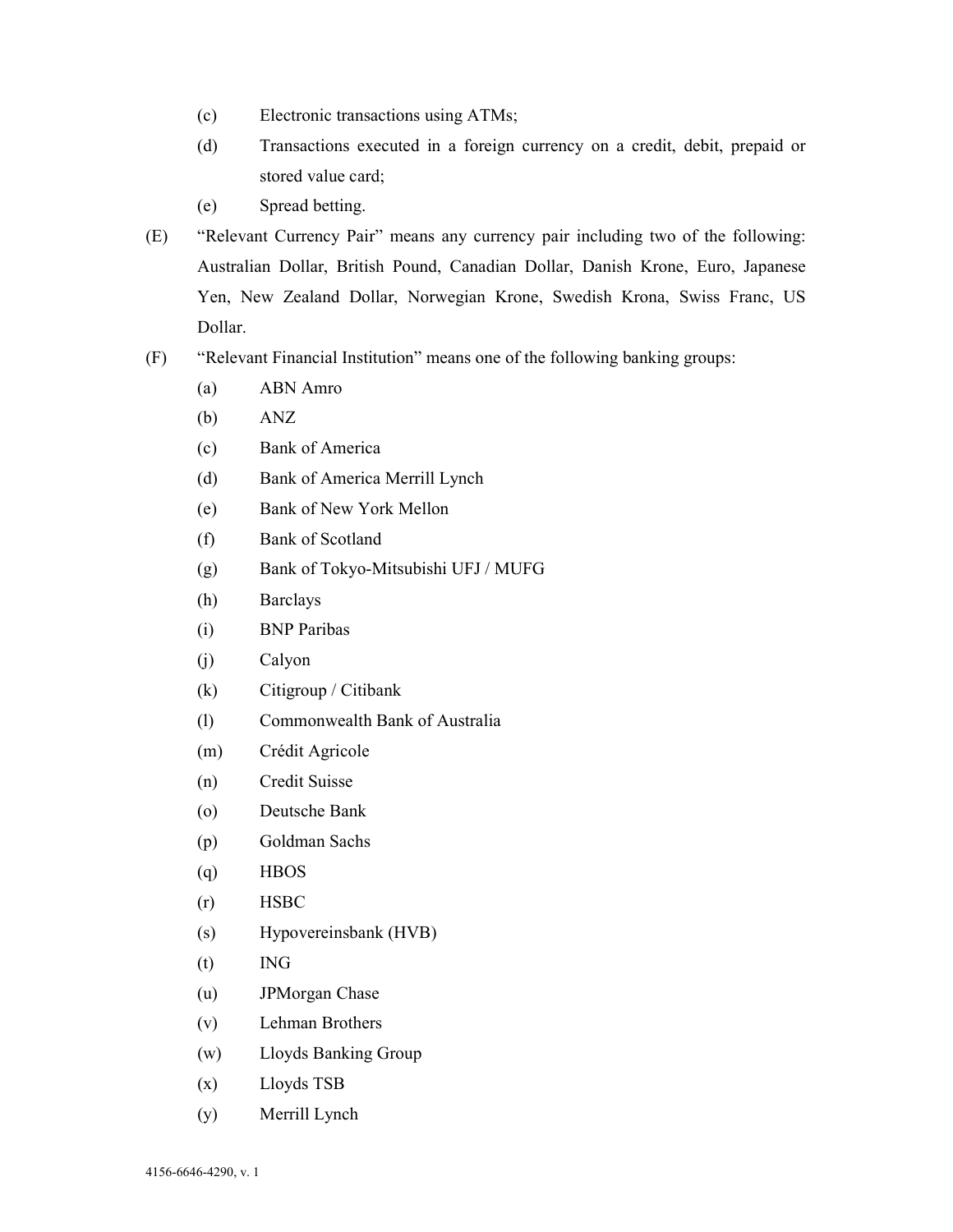- (c) Electronic transactions using ATMs;
- (d) Transactions executed in a foreign currency on a credit, debit, prepaid or stored value card;
- (e) Spread betting.
- (E) "Relevant Currency Pair" means any currency pair including two of the following: Australian Dollar, British Pound, Canadian Dollar, Danish Krone, Euro, Japanese Yen, New Zealand Dollar, Norwegian Krone, Swedish Krona, Swiss Franc, US Dollar.
- (F) "Relevant Financial Institution" means one of the following banking groups:
	- (a) ABN Amro
	- (b) ANZ
	- (c) Bank of America
	- (d) Bank of America Merrill Lynch
	- (e) Bank of New York Mellon
	- (f) Bank of Scotland
	- (g) Bank of Tokyo-Mitsubishi UFJ / MUFG
	- (h) Barclays
	- (i) BNP Paribas
	- (j) Calyon
	- (k) Citigroup / Citibank
	- (l) Commonwealth Bank of Australia
	- (m) Crédit Agricole
	- (n) Credit Suisse
	- (o) Deutsche Bank
	- (p) Goldman Sachs
	- (q) HBOS
	- (r) HSBC
	- (s) Hypovereinsbank (HVB)
	- (t) ING
	- (u) JPMorgan Chase
	- (v) Lehman Brothers
	- (w) Lloyds Banking Group
	- (x) Lloyds TSB
	- (y) Merrill Lynch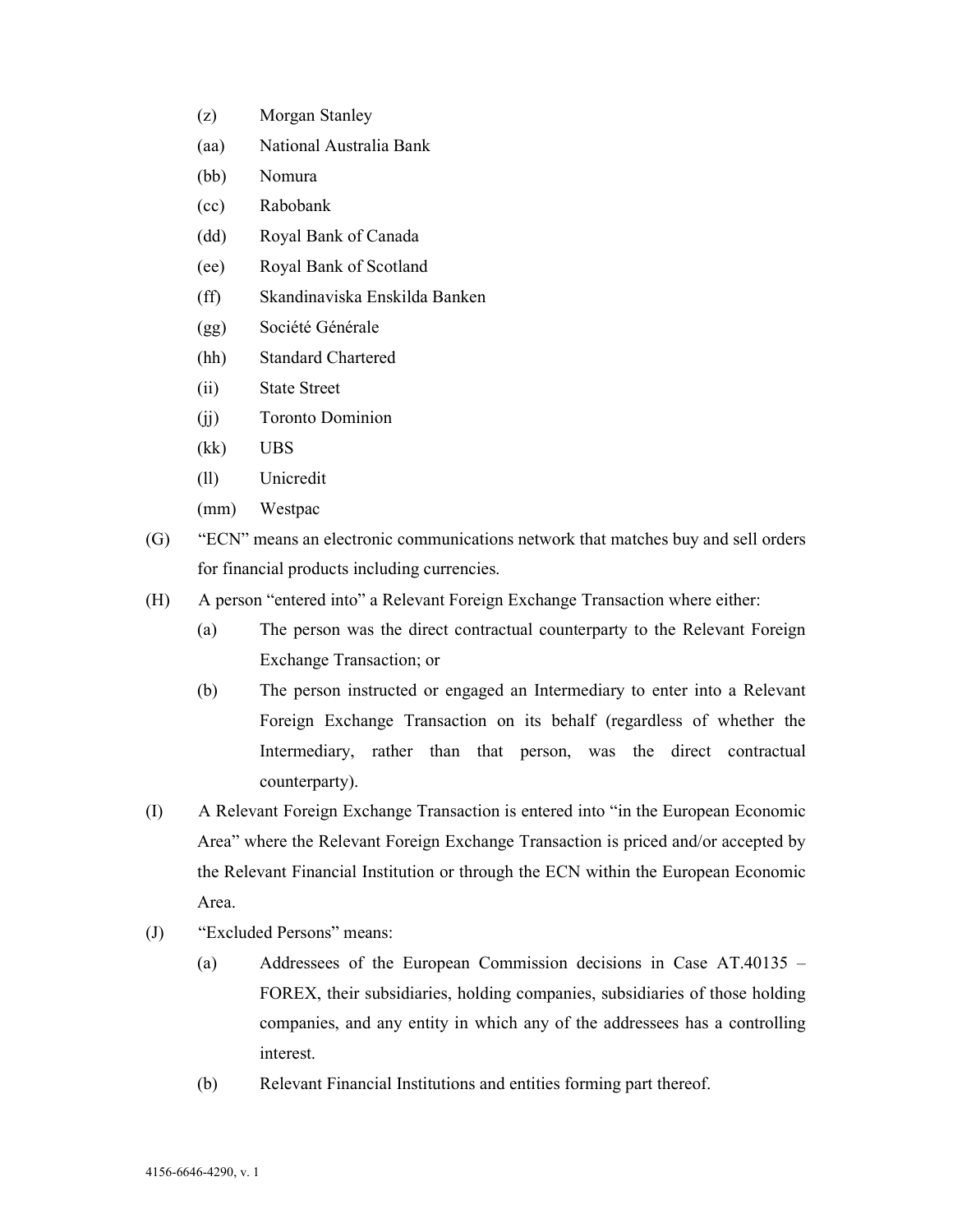- (z) Morgan Stanley
- (aa) National Australia Bank
- (bb) Nomura
- (cc) Rabobank
- (dd) Royal Bank of Canada
- (ee) Royal Bank of Scotland
- (ff) Skandinaviska Enskilda Banken
- (gg) Société Générale
- (hh) Standard Chartered
- (ii) State Street
- (jj) Toronto Dominion
- (kk) UBS
- (ll) Unicredit
- (mm) Westpac
- (G) "ECN" means an electronic communications network that matches buy and sell orders for financial products including currencies.
- (H) A person "entered into" a Relevant Foreign Exchange Transaction where either:
	- (a) The person was the direct contractual counterparty to the Relevant Foreign Exchange Transaction; or
	- (b) The person instructed or engaged an Intermediary to enter into a Relevant Foreign Exchange Transaction on its behalf (regardless of whether the Intermediary, rather than that person, was the direct contractual counterparty).
- (I) A Relevant Foreign Exchange Transaction is entered into "in the European Economic Area" where the Relevant Foreign Exchange Transaction is priced and/or accepted by the Relevant Financial Institution or through the ECN within the European Economic Area.
- (J) "Excluded Persons" means:
	- (a) Addressees of the European Commission decisions in Case AT.40135 FOREX, their subsidiaries, holding companies, subsidiaries of those holding companies, and any entity in which any of the addressees has a controlling interest.
	- (b) Relevant Financial Institutions and entities forming part thereof.